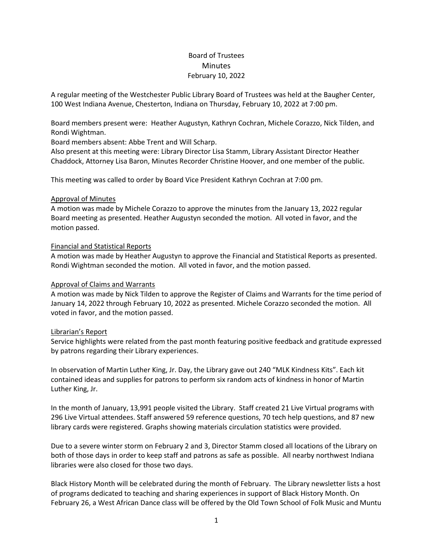# Board of Trustees **Minutes** February 10, 2022

A regular meeting of the Westchester Public Library Board of Trustees was held at the Baugher Center, 100 West Indiana Avenue, Chesterton, Indiana on Thursday, February 10, 2022 at 7:00 pm.

Board members present were: Heather Augustyn, Kathryn Cochran, Michele Corazzo, Nick Tilden, and Rondi Wightman.

Board members absent: Abbe Trent and Will Scharp.

Also present at this meeting were: Library Director Lisa Stamm, Library Assistant Director Heather Chaddock, Attorney Lisa Baron, Minutes Recorder Christine Hoover, and one member of the public.

This meeting was called to order by Board Vice President Kathryn Cochran at 7:00 pm.

# Approval of Minutes

A motion was made by Michele Corazzo to approve the minutes from the January 13, 2022 regular Board meeting as presented. Heather Augustyn seconded the motion. All voted in favor, and the motion passed.

# Financial and Statistical Reports

A motion was made by Heather Augustyn to approve the Financial and Statistical Reports as presented. Rondi Wightman seconded the motion. All voted in favor, and the motion passed.

#### Approval of Claims and Warrants

A motion was made by Nick Tilden to approve the Register of Claims and Warrants for the time period of January 14, 2022 through February 10, 2022 as presented. Michele Corazzo seconded the motion. All voted in favor, and the motion passed.

#### Librarian's Report

Service highlights were related from the past month featuring positive feedback and gratitude expressed by patrons regarding their Library experiences.

In observation of Martin Luther King, Jr. Day, the Library gave out 240 "MLK Kindness Kits". Each kit contained ideas and supplies for patrons to perform six random acts of kindness in honor of Martin Luther King, Jr.

In the month of January, 13,991 people visited the Library. Staff created 21 Live Virtual programs with 296 Live Virtual attendees. Staff answered 59 reference questions, 70 tech help questions, and 87 new library cards were registered. Graphs showing materials circulation statistics were provided.

Due to a severe winter storm on February 2 and 3, Director Stamm closed all locations of the Library on both of those days in order to keep staff and patrons as safe as possible. All nearby northwest Indiana libraries were also closed for those two days.

Black History Month will be celebrated during the month of February. The Library newsletter lists a host of programs dedicated to teaching and sharing experiences in support of Black History Month. On February 26, a West African Dance class will be offered by the Old Town School of Folk Music and Muntu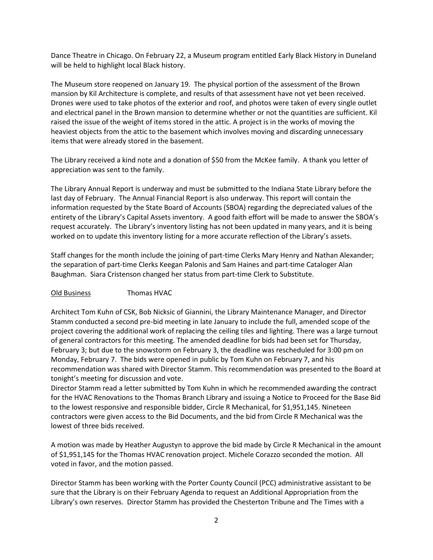Dance Theatre in Chicago. On February 22, a Museum program entitled Early Black History in Duneland will be held to highlight local Black history.

The Museum store reopened on January 19. The physical portion of the assessment of the Brown mansion by Kil Architecture is complete, and results of that assessment have not yet been received. Drones were used to take photos of the exterior and roof, and photos were taken of every single outlet and electrical panel in the Brown mansion to determine whether or not the quantities are sufficient. Kil raised the issue of the weight of items stored in the attic. A project is in the works of moving the heaviest objects from the attic to the basement which involves moving and discarding unnecessary items that were already stored in the basement.

The Library received a kind note and a donation of \$50 from the McKee family. A thank you letter of appreciation was sent to the family.

The Library Annual Report is underway and must be submitted to the Indiana State Library before the last day of February. The Annual Financial Report is also underway. This report will contain the information requested by the State Board of Accounts (SBOA) regarding the depreciated values of the entirety of the Library's Capital Assets inventory. A good faith effort will be made to answer the SBOA's request accurately. The Library's inventory listing has not been updated in many years, and it is being worked on to update this inventory listing for a more accurate reflection of the Library's assets.

Staff changes for the month include the joining of part-time Clerks Mary Henry and Nathan Alexander; the separation of part-time Clerks Keegan Palonis and Sam Haines and part-time Cataloger Alan Baughman. Siara Cristenson changed her status from part-time Clerk to Substitute.

# Old Business Thomas HVAC

Architect Tom Kuhn of CSK, Bob Nicksic of Giannini, the Library Maintenance Manager, and Director Stamm conducted a second pre-bid meeting in late January to include the full, amended scope of the project covering the additional work of replacing the ceiling tiles and lighting. There was a large turnout of general contractors for this meeting. The amended deadline for bids had been set for Thursday, February 3; but due to the snowstorm on February 3, the deadline was rescheduled for 3:00 pm on Monday, February 7. The bids were opened in public by Tom Kuhn on February 7, and his recommendation was shared with Director Stamm. This recommendation was presented to the Board at tonight's meeting for discussion and vote.

Director Stamm read a letter submitted by Tom Kuhn in which he recommended awarding the contract for the HVAC Renovations to the Thomas Branch Library and issuing a Notice to Proceed for the Base Bid to the lowest responsive and responsible bidder, Circle R Mechanical, for \$1,951,145. Nineteen contractors were given access to the Bid Documents, and the bid from Circle R Mechanical was the lowest of three bids received.

A motion was made by Heather Augustyn to approve the bid made by Circle R Mechanical in the amount of \$1,951,145 for the Thomas HVAC renovation project. Michele Corazzo seconded the motion. All voted in favor, and the motion passed.

Director Stamm has been working with the Porter County Council (PCC) administrative assistant to be sure that the Library is on their February Agenda to request an Additional Appropriation from the Library's own reserves. Director Stamm has provided the Chesterton Tribune and The Times with a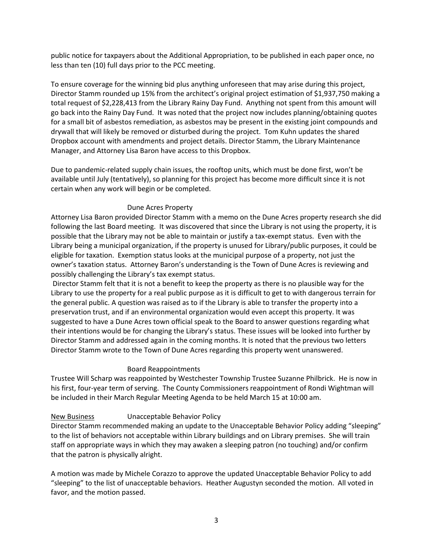public notice for taxpayers about the Additional Appropriation, to be published in each paper once, no less than ten (10) full days prior to the PCC meeting.

To ensure coverage for the winning bid plus anything unforeseen that may arise during this project, Director Stamm rounded up 15% from the architect's original project estimation of \$1,937,750 making a total request of \$2,228,413 from the Library Rainy Day Fund. Anything not spent from this amount will go back into the Rainy Day Fund. It was noted that the project now includes planning/obtaining quotes for a small bit of asbestos remediation, as asbestos may be present in the existing joint compounds and drywall that will likely be removed or disturbed during the project. Tom Kuhn updates the shared Dropbox account with amendments and project details. Director Stamm, the Library Maintenance Manager, and Attorney Lisa Baron have access to this Dropbox.

Due to pandemic-related supply chain issues, the rooftop units, which must be done first, won't be available until July (tentatively), so planning for this project has become more difficult since it is not certain when any work will begin or be completed.

# Dune Acres Property

Attorney Lisa Baron provided Director Stamm with a memo on the Dune Acres property research she did following the last Board meeting. It was discovered that since the Library is not using the property, it is possible that the Library may not be able to maintain or justify a tax-exempt status. Even with the Library being a municipal organization, if the property is unused for Library/public purposes, it could be eligible for taxation. Exemption status looks at the municipal purpose of a property, not just the owner's taxation status. Attorney Baron's understanding is the Town of Dune Acres is reviewing and possibly challenging the Library's tax exempt status.

Director Stamm felt that it is not a benefit to keep the property as there is no plausible way for the Library to use the property for a real public purpose as it is difficult to get to with dangerous terrain for the general public. A question was raised as to if the Library is able to transfer the property into a preservation trust, and if an environmental organization would even accept this property. It was suggested to have a Dune Acres town official speak to the Board to answer questions regarding what their intentions would be for changing the Library's status. These issues will be looked into further by Director Stamm and addressed again in the coming months. It is noted that the previous two letters Director Stamm wrote to the Town of Dune Acres regarding this property went unanswered.

#### Board Reappointments

Trustee Will Scharp was reappointed by Westchester Township Trustee Suzanne Philbrick. He is now in his first, four-year term of serving. The County Commissioners reappointment of Rondi Wightman will be included in their March Regular Meeting Agenda to be held March 15 at 10:00 am.

# New Business Unacceptable Behavior Policy

Director Stamm recommended making an update to the Unacceptable Behavior Policy adding "sleeping" to the list of behaviors not acceptable within Library buildings and on Library premises. She will train staff on appropriate ways in which they may awaken a sleeping patron (no touching) and/or confirm that the patron is physically alright.

A motion was made by Michele Corazzo to approve the updated Unacceptable Behavior Policy to add "sleeping" to the list of unacceptable behaviors. Heather Augustyn seconded the motion. All voted in favor, and the motion passed.